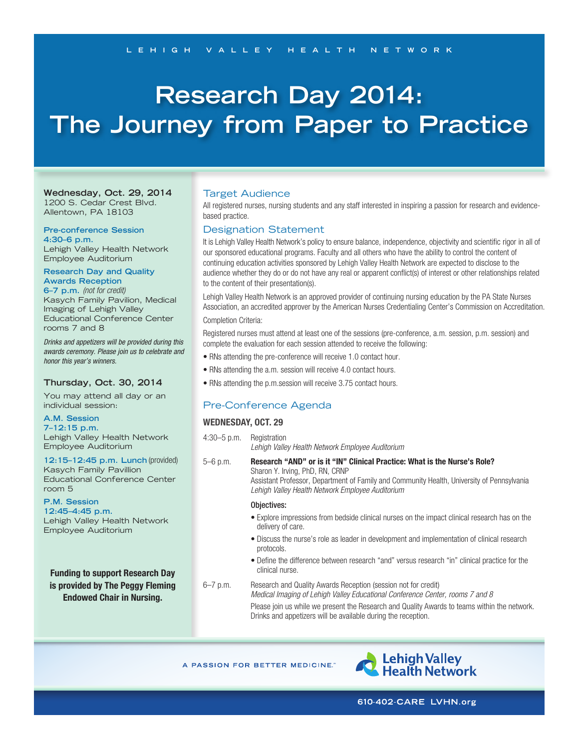# **Research Day 2014: The Journey from Paper to Practice**

**Wednesday, Oct. 29, 2014** 1200 S. Cedar Crest Blvd. Allentown, PA 18103

# **Pre-conference Session**

**4:30–6 p.m.** Lehigh Valley Health Network Employee Auditorium

## **Research Day and Quality Awards Reception**

**6–7 p.m.** *(not for credit)* Kasych Family Pavilion, Medical Imaging of Lehigh Valley Educational Conference Center rooms 7 and 8

*Drinks and appetizers will be provided during this awards ceremony. Please join us to celebrate and honor this year's winners.*

## **Thursday, Oct. 30, 2014**

You may attend all day or an individual session:

#### **A.M. Session 7–12:15 p.m.**

Lehigh Valley Health Network Employee Auditorium

**12:15–12:45 p.m. Lunch** (provided) Kasych Family Pavillion Educational Conference Center room 5

## **P.M. Session**

**12:45–4:45 p.m.** Lehigh Valley Health Network Employee Auditorium

**Funding to support Research Day is provided by The Peggy Fleming Endowed Chair in Nursing.**

## Target Audience

All registered nurses, nursing students and any staff interested in inspiring a passion for research and evidencebased practice.

## Designation Statement

It is Lehigh Valley Health Network's policy to ensure balance, independence, objectivity and scientific rigor in all of our sponsored educational programs. Faculty and all others who have the ability to control the content of continuing education activities sponsored by Lehigh Valley Health Network are expected to disclose to the audience whether they do or do not have any real or apparent conflict(s) of interest or other relationships related to the content of their presentation(s).

Lehigh Valley Health Network is an approved provider of continuing nursing education by the PA State Nurses Association, an accredited approver by the American Nurses Credentialing Center's Commission on Accreditation.

## Completion Criteria:

Registered nurses must attend at least one of the sessions (pre-conference, a.m. session, p.m. session) and complete the evaluation for each session attended to receive the following:

- RNs attending the pre-conference will receive 1.0 contact hour.
- RNs attending the a.m. session will receive 4.0 contact hours.
- RNs attending the p.m.session will receive 3.75 contact hours.

# Pre-Conference Agenda

## **WEDNESDAY, OCT. 29**

4:30–5 p.m. Registration *Lehigh Valley Health Network Employee Auditorium*

5–6 p.m. **Research "AND" or is it "IN" Clinical Practice: What is the Nurse's Role?** Sharon Y. Irving, PhD, RN, CRNP Assistant Professor, Department of Family and Community Health, University of Pennsylvania *Lehigh Valley Health Network Employee Auditorium*

#### Objectives:

- Explore impressions from bedside clinical nurses on the impact clinical research has on the delivery of care.
- Discuss the nurse's role as leader in development and implementation of clinical research protocols.
- Define the difference between research "and" versus research "in" clinical practice for the clinical nurse.
- 6–7 p.m. Research and Quality Awards Reception (session not for credit) *Medical Imaging of Lehigh Valley Educational Conference Center, rooms 7 and 8* Please join us while we present the Research and Quality Awards to teams within the network. Drinks and appetizers will be available during the reception.

A PASSION FOR BETTER MEDICINE."

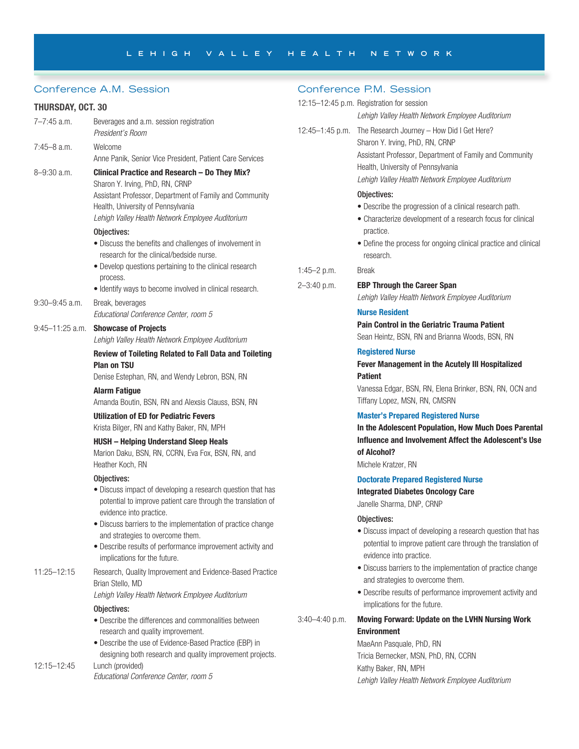# Conference A.M. Session

# **THURSDAY, OCT. 30**

| 7–7:45 a.m.         | Beverages and a.m. session registration<br>President's Room                                                                                                                                                                                                                                                                                                            | $12:45 - 1$              |
|---------------------|------------------------------------------------------------------------------------------------------------------------------------------------------------------------------------------------------------------------------------------------------------------------------------------------------------------------------------------------------------------------|--------------------------|
| 7:45–8 a.m.         | Welcome<br>Anne Panik, Senior Vice President, Patient Care Services                                                                                                                                                                                                                                                                                                    |                          |
| $8 - 9:30$ a.m.     | Clinical Practice and Research - Do They Mix?<br>Sharon Y. Irving, PhD, RN, CRNP<br>Assistant Professor, Department of Family and Community<br>Health, University of Pennsylvania<br>Lehigh Valley Health Network Employee Auditorium                                                                                                                                  |                          |
|                     | Obiectives:<br>• Discuss the benefits and challenges of involvement in<br>research for the clinical/bedside nurse.<br>• Develop questions pertaining to the clinical research<br>process.<br>• Identify ways to become involved in clinical research.                                                                                                                  | $1:45 - 2$<br>$2 - 3:40$ |
| 9:30–9:45 a.m.      | Break, beverages<br>Educational Conference Center, room 5                                                                                                                                                                                                                                                                                                              |                          |
| $9:45 - 11:25$ a.m. | <b>Showcase of Projects</b><br>Lehigh Valley Health Network Employee Auditorium                                                                                                                                                                                                                                                                                        |                          |
|                     | <b>Review of Toileting Related to Fall Data and Toileting</b><br><b>Plan on TSU</b><br>Denise Estephan, RN, and Wendy Lebron, BSN, RN<br><b>Alarm Fatigue</b><br>Amanda Boutin, BSN, RN and Alexsis Clauss, BSN, RN                                                                                                                                                    |                          |
|                     | <b>Utilization of ED for Pediatric Fevers</b><br>Krista Bilger, RN and Kathy Baker, RN, MPH                                                                                                                                                                                                                                                                            |                          |
|                     | <b>HUSH - Helping Understand Sleep Heals</b><br>Marion Daku, BSN, RN, CCRN, Eva Fox, BSN, RN, and<br>Heather Koch, RN                                                                                                                                                                                                                                                  |                          |
|                     | Objectives:<br>• Discuss impact of developing a research question that has<br>potential to improve patient care through the translation of<br>evidence into practice.<br>· Discuss barriers to the implementation of practice change<br>and strategies to overcome them.<br>• Describe results of performance improvement activity and<br>implications for the future. |                          |
| 11:25-12:15         | Research, Quality Improvement and Evidence-Based Practice<br>Brian Stello, MD<br>Lehigh Valley Health Network Employee Auditorium                                                                                                                                                                                                                                      |                          |
|                     | Objectives:<br>• Describe the differences and commonalities between<br>research and quality improvement.<br>• Describe the use of Evidence-Based Practice (EBP) in                                                                                                                                                                                                     | $3:40-4$                 |
| 12:15-12:45         | designing both research and quality improvement projects.<br>Lunch (provided)                                                                                                                                                                                                                                                                                          |                          |

*Educational Conference Center, room 5*

# Conference P.M. Session

|                    | 12:15-12:45 p.m. Registration for session<br>Lehigh Valley Health Network Employee Auditorium                                                                                                                                      |
|--------------------|------------------------------------------------------------------------------------------------------------------------------------------------------------------------------------------------------------------------------------|
| 12:45-1:45 p.m.    | The Research Journey - How Did I Get Here?<br>Sharon Y. Irving, PhD, RN, CRNP<br>Assistant Professor, Department of Family and Community<br>Health, University of Pennsylvania<br>Lehigh Valley Health Network Employee Auditorium |
|                    | Objectives:<br>• Describe the progression of a clinical research path.<br>• Characterize development of a research focus for clinical<br>practice.<br>• Define the process for ongoing clinical practice and clinical<br>research. |
| 1:45 $-2$ p.m.     | Break                                                                                                                                                                                                                              |
| $2 - 3:40$ p.m.    | <b>EBP Through the Career Span</b><br>Lehigh Valley Health Network Employee Auditorium                                                                                                                                             |
|                    | <b>Nurse Resident</b>                                                                                                                                                                                                              |
|                    | <b>Pain Control in the Geriatric Trauma Patient</b><br>Sean Heintz, BSN, RN and Brianna Woods, BSN, RN                                                                                                                             |
|                    | <b>Registered Nurse</b><br>Fever Management in the Acutely III Hospitalized<br><b>Patient</b>                                                                                                                                      |
|                    | Vanessa Edgar, BSN, RN, Elena Brinker, BSN, RN, OCN and<br>Tiffany Lopez, MSN, RN, CMSRN                                                                                                                                           |
|                    | <b>Master's Prepared Registered Nurse</b><br>In the Adolescent Population, How Much Does Parental<br>Influence and Involvement Affect the Adolescent's Use<br>of Alcohol?<br>Michele Kratzer, RN                                   |
|                    | <b>Doctorate Prepared Registered Nurse</b><br><b>Integrated Diabetes Oncology Care</b><br>Janelle Sharma, DNP, CRNP                                                                                                                |
|                    | Objectives:<br>• Discuss impact of developing a research question that has<br>potential to improve patient care through the translation of<br>evidence into practice.                                                              |
|                    | · Discuss barriers to the implementation of practice change<br>and strategies to overcome them.<br>• Describe results of performance improvement activity and<br>implications for the future.                                      |
| $3:40 - 4:40$ p.m. | Moving Forward: Update on the LVHN Nursing Work<br><b>Environment</b>                                                                                                                                                              |

MaeAnn Pasquale, PhD, RN Tricia Bernecker, MSN, PhD, RN, CCRN Kathy Baker, RN, MPH *Lehigh Valley Health Network Employee Auditorium*